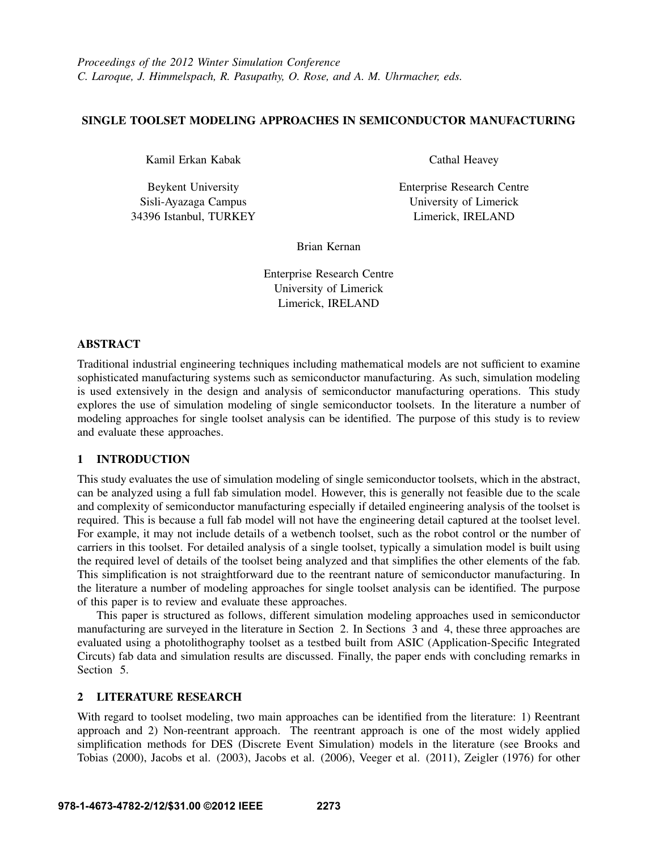## SINGLE TOOLSET MODELING APPROACHES IN SEMICONDUCTOR MANUFACTURING

Kamil Erkan Kabak

Beykent University Sisli-Ayazaga Campus 34396 Istanbul, TURKEY Cathal Heavey

Enterprise Research Centre University of Limerick Limerick, IRELAND

Brian Kernan

Enterprise Research Centre University of Limerick Limerick, IRELAND

## ABSTRACT

Traditional industrial engineering techniques including mathematical models are not sufficient to examine sophisticated manufacturing systems such as semiconductor manufacturing. As such, simulation modeling is used extensively in the design and analysis of semiconductor manufacturing operations. This study explores the use of simulation modeling of single semiconductor toolsets. In the literature a number of modeling approaches for single toolset analysis can be identified. The purpose of this study is to review and evaluate these approaches.

## 1 INTRODUCTION

This study evaluates the use of simulation modeling of single semiconductor toolsets, which in the abstract, can be analyzed using a full fab simulation model. However, this is generally not feasible due to the scale and complexity of semiconductor manufacturing especially if detailed engineering analysis of the toolset is required. This is because a full fab model will not have the engineering detail captured at the toolset level. For example, it may not include details of a wetbench toolset, such as the robot control or the number of carriers in this toolset. For detailed analysis of a single toolset, typically a simulation model is built using the required level of details of the toolset being analyzed and that simplifies the other elements of the fab. This simplification is not straightforward due to the reentrant nature of semiconductor manufacturing. In the literature a number of modeling approaches for single toolset analysis can be identified. The purpose of this paper is to review and evaluate these approaches.

This paper is structured as follows, different simulation modeling approaches used in semiconductor manufacturing are surveyed in the literature in Section 2. In Sections 3 and 4, these three approaches are evaluated using a photolithography toolset as a testbed built from ASIC (Application-Specific Integrated Circuts) fab data and simulation results are discussed. Finally, the paper ends with concluding remarks in Section 5.

# 2 LITERATURE RESEARCH

With regard to toolset modeling, two main approaches can be identified from the literature: 1) Reentrant approach and 2) Non-reentrant approach. The reentrant approach is one of the most widely applied simplification methods for DES (Discrete Event Simulation) models in the literature (see Brooks and Tobias (2000), Jacobs et al. (2003), Jacobs et al. (2006), Veeger et al. (2011), Zeigler (1976) for other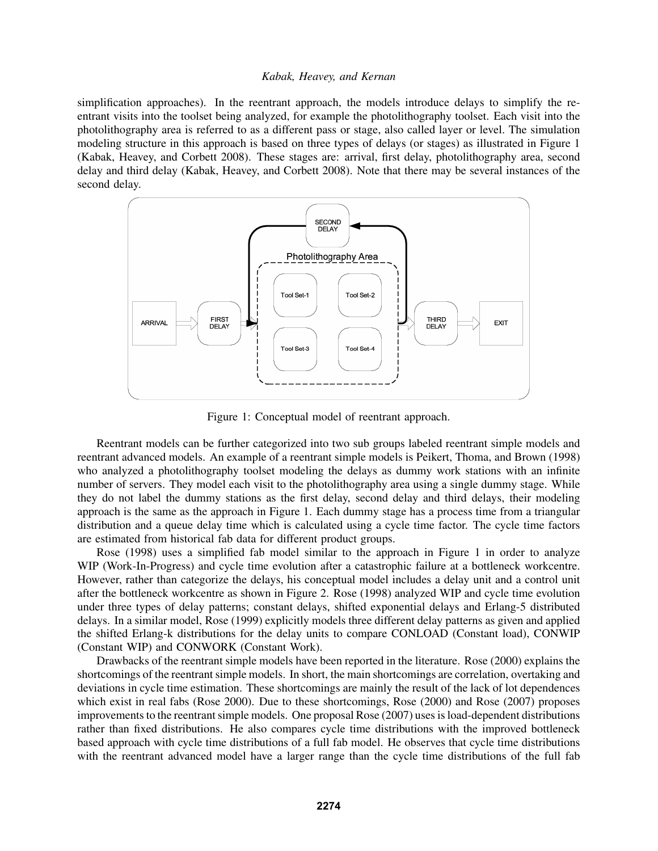simplification approaches). In the reentrant approach, the models introduce delays to simplify the reentrant visits into the toolset being analyzed, for example the photolithography toolset. Each visit into the photolithography area is referred to as a different pass or stage, also called layer or level. The simulation modeling structure in this approach is based on three types of delays (or stages) as illustrated in Figure 1 (Kabak, Heavey, and Corbett 2008). These stages are: arrival, first delay, photolithography area, second delay and third delay (Kabak, Heavey, and Corbett 2008). Note that there may be several instances of the second delay.



Figure 1: Conceptual model of reentrant approach.

Reentrant models can be further categorized into two sub groups labeled reentrant simple models and reentrant advanced models. An example of a reentrant simple models is Peikert, Thoma, and Brown (1998) who analyzed a photolithography toolset modeling the delays as dummy work stations with an infinite number of servers. They model each visit to the photolithography area using a single dummy stage. While they do not label the dummy stations as the first delay, second delay and third delays, their modeling approach is the same as the approach in Figure 1. Each dummy stage has a process time from a triangular distribution and a queue delay time which is calculated using a cycle time factor. The cycle time factors are estimated from historical fab data for different product groups.

Rose (1998) uses a simplified fab model similar to the approach in Figure 1 in order to analyze WIP (Work-In-Progress) and cycle time evolution after a catastrophic failure at a bottleneck workcentre. However, rather than categorize the delays, his conceptual model includes a delay unit and a control unit after the bottleneck workcentre as shown in Figure 2. Rose (1998) analyzed WIP and cycle time evolution under three types of delay patterns; constant delays, shifted exponential delays and Erlang-5 distributed delays. In a similar model, Rose (1999) explicitly models three different delay patterns as given and applied the shifted Erlang-k distributions for the delay units to compare CONLOAD (Constant load), CONWIP (Constant WIP) and CONWORK (Constant Work).

Drawbacks of the reentrant simple models have been reported in the literature. Rose (2000) explains the shortcomings of the reentrant simple models. In short, the main shortcomings are correlation, overtaking and deviations in cycle time estimation. These shortcomings are mainly the result of the lack of lot dependences which exist in real fabs (Rose 2000). Due to these shortcomings, Rose (2000) and Rose (2007) proposes improvements to the reentrant simple models. One proposal Rose (2007) uses is load-dependent distributions rather than fixed distributions. He also compares cycle time distributions with the improved bottleneck based approach with cycle time distributions of a full fab model. He observes that cycle time distributions with the reentrant advanced model have a larger range than the cycle time distributions of the full fab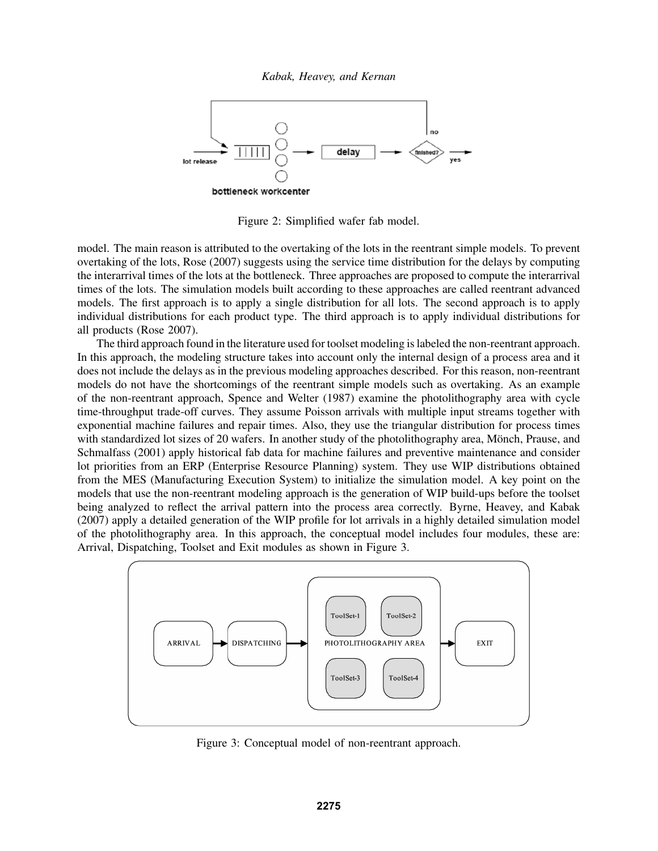*Kabak, Heavey, and Kernan*



Figure 2: Simplified wafer fab model.

model. The main reason is attributed to the overtaking of the lots in the reentrant simple models. To prevent overtaking of the lots, Rose (2007) suggests using the service time distribution for the delays by computing the interarrival times of the lots at the bottleneck. Three approaches are proposed to compute the interarrival times of the lots. The simulation models built according to these approaches are called reentrant advanced models. The first approach is to apply a single distribution for all lots. The second approach is to apply individual distributions for each product type. The third approach is to apply individual distributions for all products (Rose 2007).

The third approach found in the literature used for toolset modeling is labeled the non-reentrant approach. In this approach, the modeling structure takes into account only the internal design of a process area and it does not include the delays as in the previous modeling approaches described. For this reason, non-reentrant models do not have the shortcomings of the reentrant simple models such as overtaking. As an example of the non-reentrant approach, Spence and Welter (1987) examine the photolithography area with cycle time-throughput trade-off curves. They assume Poisson arrivals with multiple input streams together with exponential machine failures and repair times. Also, they use the triangular distribution for process times with standardized lot sizes of 20 wafers. In another study of the photolithography area, Mönch, Prause, and Schmalfass (2001) apply historical fab data for machine failures and preventive maintenance and consider lot priorities from an ERP (Enterprise Resource Planning) system. They use WIP distributions obtained from the MES (Manufacturing Execution System) to initialize the simulation model. A key point on the models that use the non-reentrant modeling approach is the generation of WIP build-ups before the toolset being analyzed to reflect the arrival pattern into the process area correctly. Byrne, Heavey, and Kabak (2007) apply a detailed generation of the WIP profile for lot arrivals in a highly detailed simulation model of the photolithography area. In this approach, the conceptual model includes four modules, these are: Arrival, Dispatching, Toolset and Exit modules as shown in Figure 3.



Figure 3: Conceptual model of non-reentrant approach.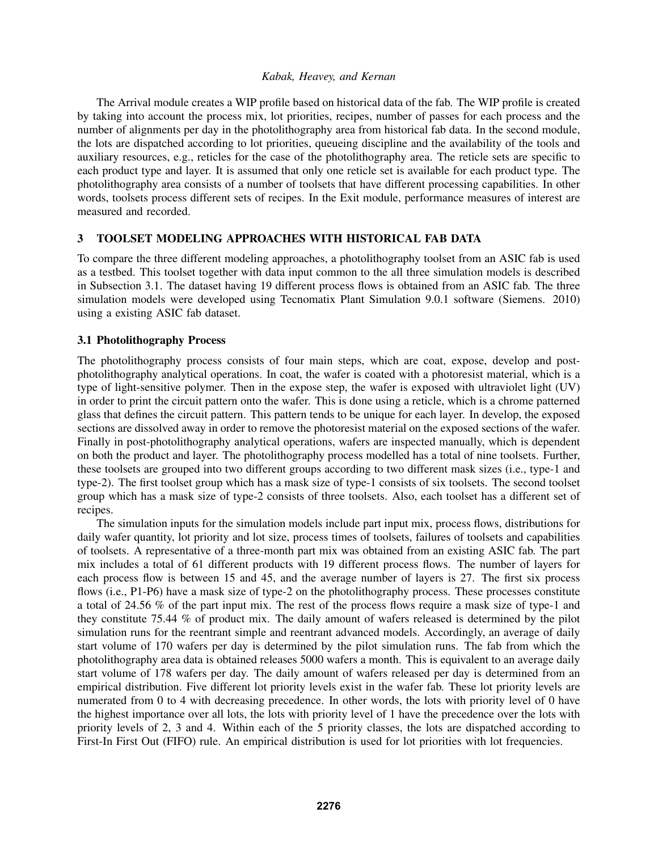The Arrival module creates a WIP profile based on historical data of the fab. The WIP profile is created by taking into account the process mix, lot priorities, recipes, number of passes for each process and the number of alignments per day in the photolithography area from historical fab data. In the second module, the lots are dispatched according to lot priorities, queueing discipline and the availability of the tools and auxiliary resources, e.g., reticles for the case of the photolithography area. The reticle sets are specific to each product type and layer. It is assumed that only one reticle set is available for each product type. The photolithography area consists of a number of toolsets that have different processing capabilities. In other words, toolsets process different sets of recipes. In the Exit module, performance measures of interest are measured and recorded.

## 3 TOOLSET MODELING APPROACHES WITH HISTORICAL FAB DATA

To compare the three different modeling approaches, a photolithography toolset from an ASIC fab is used as a testbed. This toolset together with data input common to the all three simulation models is described in Subsection 3.1. The dataset having 19 different process flows is obtained from an ASIC fab. The three simulation models were developed using Tecnomatix Plant Simulation 9.0.1 software (Siemens. 2010) using a existing ASIC fab dataset.

### 3.1 Photolithography Process

The photolithography process consists of four main steps, which are coat, expose, develop and postphotolithography analytical operations. In coat, the wafer is coated with a photoresist material, which is a type of light-sensitive polymer. Then in the expose step, the wafer is exposed with ultraviolet light (UV) in order to print the circuit pattern onto the wafer. This is done using a reticle, which is a chrome patterned glass that defines the circuit pattern. This pattern tends to be unique for each layer. In develop, the exposed sections are dissolved away in order to remove the photoresist material on the exposed sections of the wafer. Finally in post-photolithography analytical operations, wafers are inspected manually, which is dependent on both the product and layer. The photolithography process modelled has a total of nine toolsets. Further, these toolsets are grouped into two different groups according to two different mask sizes (i.e., type-1 and type-2). The first toolset group which has a mask size of type-1 consists of six toolsets. The second toolset group which has a mask size of type-2 consists of three toolsets. Also, each toolset has a different set of recipes.

The simulation inputs for the simulation models include part input mix, process flows, distributions for daily wafer quantity, lot priority and lot size, process times of toolsets, failures of toolsets and capabilities of toolsets. A representative of a three-month part mix was obtained from an existing ASIC fab. The part mix includes a total of 61 different products with 19 different process flows. The number of layers for each process flow is between 15 and 45, and the average number of layers is 27. The first six process flows (i.e., P1-P6) have a mask size of type-2 on the photolithography process. These processes constitute a total of 24.56 % of the part input mix. The rest of the process flows require a mask size of type-1 and they constitute 75.44 % of product mix. The daily amount of wafers released is determined by the pilot simulation runs for the reentrant simple and reentrant advanced models. Accordingly, an average of daily start volume of 170 wafers per day is determined by the pilot simulation runs. The fab from which the photolithography area data is obtained releases 5000 wafers a month. This is equivalent to an average daily start volume of 178 wafers per day. The daily amount of wafers released per day is determined from an empirical distribution. Five different lot priority levels exist in the wafer fab. These lot priority levels are numerated from 0 to 4 with decreasing precedence. In other words, the lots with priority level of 0 have the highest importance over all lots, the lots with priority level of 1 have the precedence over the lots with priority levels of 2, 3 and 4. Within each of the 5 priority classes, the lots are dispatched according to First-In First Out (FIFO) rule. An empirical distribution is used for lot priorities with lot frequencies.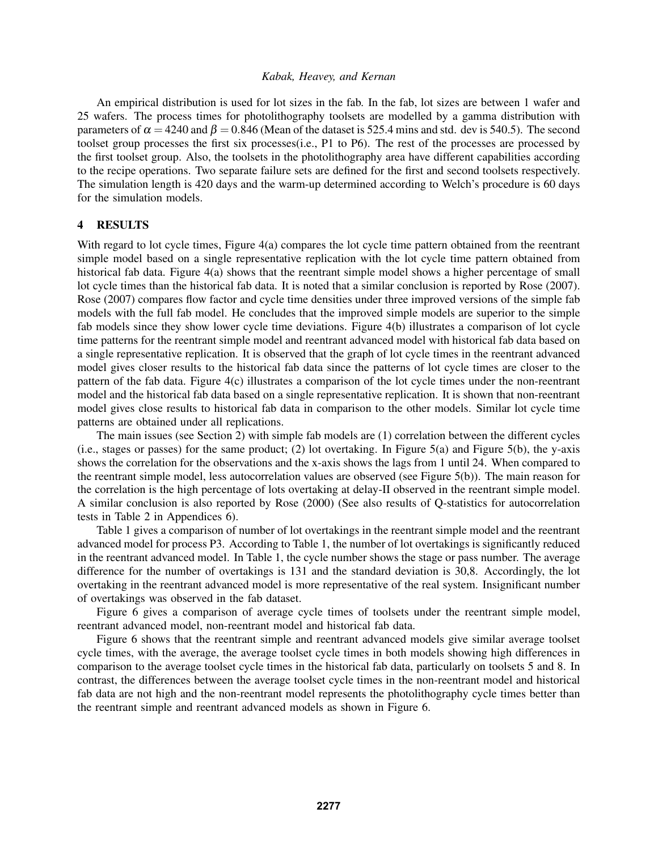An empirical distribution is used for lot sizes in the fab. In the fab, lot sizes are between 1 wafer and 25 wafers. The process times for photolithography toolsets are modelled by a gamma distribution with parameters of  $\alpha = 4240$  and  $\beta = 0.846$  (Mean of the dataset is 525.4 mins and std. dev is 540.5). The second toolset group processes the first six processes(i.e., P1 to P6). The rest of the processes are processed by the first toolset group. Also, the toolsets in the photolithography area have different capabilities according to the recipe operations. Two separate failure sets are defined for the first and second toolsets respectively. The simulation length is 420 days and the warm-up determined according to Welch's procedure is 60 days for the simulation models.

# 4 RESULTS

With regard to lot cycle times, Figure 4(a) compares the lot cycle time pattern obtained from the reentrant simple model based on a single representative replication with the lot cycle time pattern obtained from historical fab data. Figure 4(a) shows that the reentrant simple model shows a higher percentage of small lot cycle times than the historical fab data. It is noted that a similar conclusion is reported by Rose (2007). Rose (2007) compares flow factor and cycle time densities under three improved versions of the simple fab models with the full fab model. He concludes that the improved simple models are superior to the simple fab models since they show lower cycle time deviations. Figure 4(b) illustrates a comparison of lot cycle time patterns for the reentrant simple model and reentrant advanced model with historical fab data based on a single representative replication. It is observed that the graph of lot cycle times in the reentrant advanced model gives closer results to the historical fab data since the patterns of lot cycle times are closer to the pattern of the fab data. Figure 4(c) illustrates a comparison of the lot cycle times under the non-reentrant model and the historical fab data based on a single representative replication. It is shown that non-reentrant model gives close results to historical fab data in comparison to the other models. Similar lot cycle time patterns are obtained under all replications.

The main issues (see Section 2) with simple fab models are (1) correlation between the different cycles (i.e., stages or passes) for the same product; (2) lot overtaking. In Figure 5(a) and Figure 5(b), the y-axis shows the correlation for the observations and the x-axis shows the lags from 1 until 24. When compared to the reentrant simple model, less autocorrelation values are observed (see Figure 5(b)). The main reason for the correlation is the high percentage of lots overtaking at delay-II observed in the reentrant simple model. A similar conclusion is also reported by Rose (2000) (See also results of Q-statistics for autocorrelation tests in Table 2 in Appendices 6).

Table 1 gives a comparison of number of lot overtakings in the reentrant simple model and the reentrant advanced model for process P3. According to Table 1, the number of lot overtakings is significantly reduced in the reentrant advanced model. In Table 1, the cycle number shows the stage or pass number. The average difference for the number of overtakings is 131 and the standard deviation is 30,8. Accordingly, the lot overtaking in the reentrant advanced model is more representative of the real system. Insignificant number of overtakings was observed in the fab dataset.

Figure 6 gives a comparison of average cycle times of toolsets under the reentrant simple model, reentrant advanced model, non-reentrant model and historical fab data.

Figure 6 shows that the reentrant simple and reentrant advanced models give similar average toolset cycle times, with the average, the average toolset cycle times in both models showing high differences in comparison to the average toolset cycle times in the historical fab data, particularly on toolsets 5 and 8. In contrast, the differences between the average toolset cycle times in the non-reentrant model and historical fab data are not high and the non-reentrant model represents the photolithography cycle times better than the reentrant simple and reentrant advanced models as shown in Figure 6.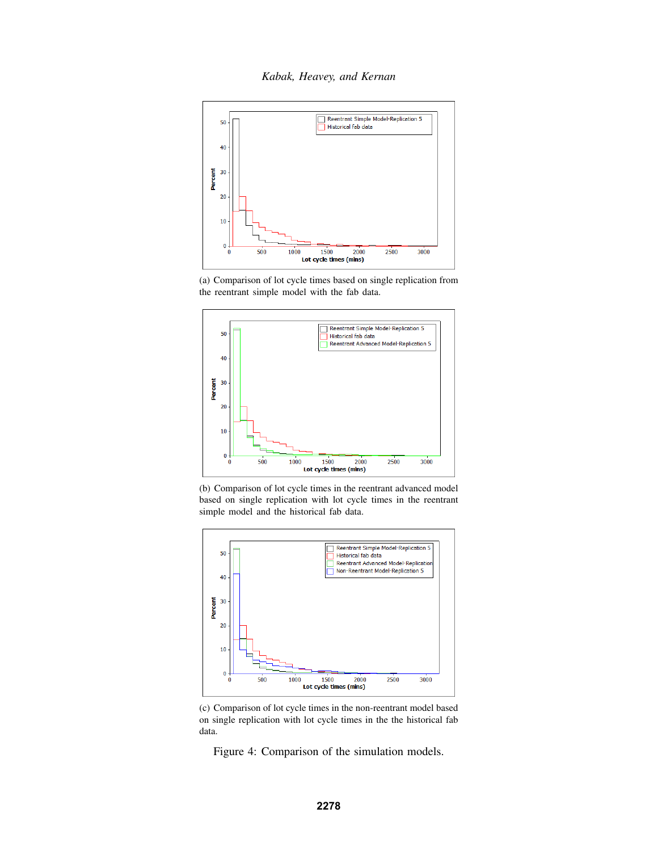*Kabak, Heavey, and Kernan*



(a) Comparison of lot cycle times based on single replication from the reentrant simple model with the fab data.



(b) Comparison of lot cycle times in the reentrant advanced model based on single replication with lot cycle times in the reentrant simple model and the historical fab data.



(c) Comparison of lot cycle times in the non-reentrant model based on single replication with lot cycle times in the the historical fab data.

Figure 4: Comparison of the simulation models.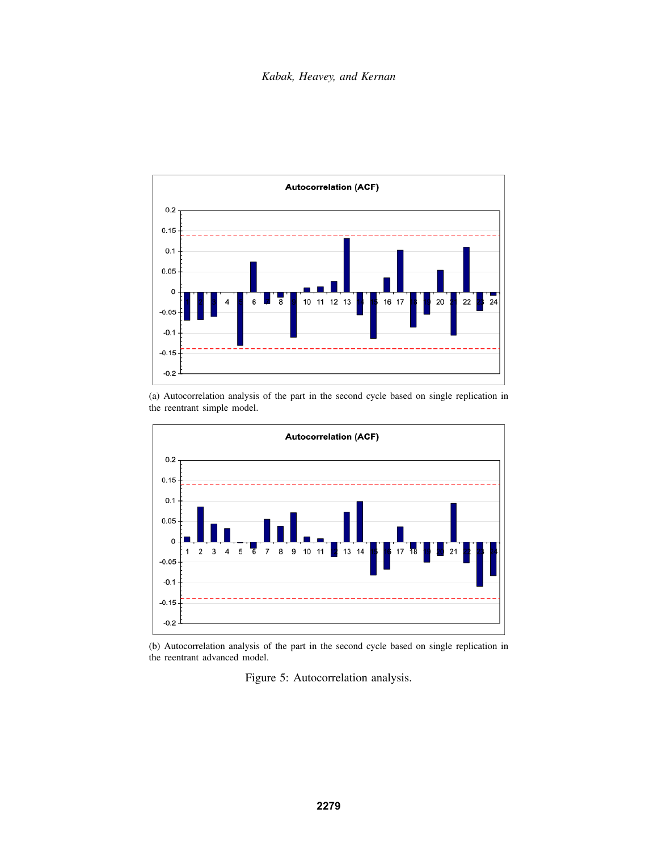

(a) Autocorrelation analysis of the part in the second cycle based on single replication in the reentrant simple model.



(b) Autocorrelation analysis of the part in the second cycle based on single replication in the reentrant advanced model.

Figure 5: Autocorrelation analysis.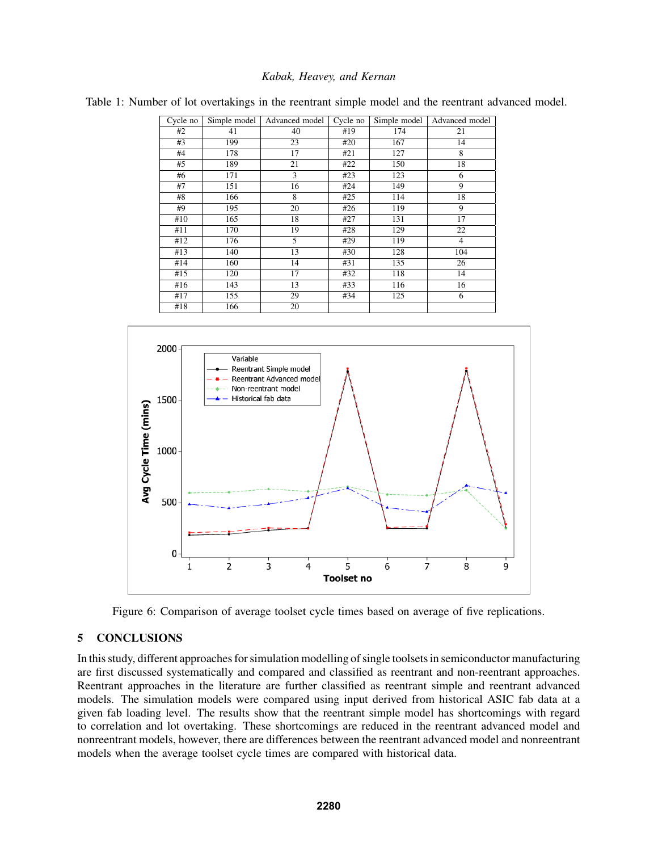| Cycle no | Simple model | Advanced model | Cycle no | Simple model | Advanced model |
|----------|--------------|----------------|----------|--------------|----------------|
| #2       | 41           | 40             | #19      | 174          | 21             |
| #3       | 199          | 23             | #20      | 167          | 14             |
| #4       | 178          | 17             | #21      | 127          | 8              |
| #5       | 189          | 21             | #22      | 150          | 18             |
| #6       | 171          | 3              | #23      | 123          | 6              |
| #7       | 151          | 16             | #24      | 149          | 9              |
| #8       | 166          | 8              | #25      | 114          | 18             |
| #9       | 195          | 20             | #26      | 119          | 9              |
| #10      | 165          | 18             | #27      | 131          | 17             |
| #11      | 170          | 19             | #28      | 129          | 22             |
| #12      | 176          | 5              | #29      | 119          | 4              |
| #13      | 140          | 13             | #30      | 128          | 104            |
| #14      | 160          | 14             | #31      | 135          | 26             |
| #15      | 120          | 17             | #32      | 118          | 14             |
| #16      | 143          | 13             | #33      | 116          | 16             |
| #17      | 155          | 29             | #34      | 125          | 6              |
| #18      | 166          | 20             |          |              |                |

Table 1: Number of lot overtakings in the reentrant simple model and the reentrant advanced model.



Figure 6: Comparison of average toolset cycle times based on average of five replications.

# 5 CONCLUSIONS

In this study, different approaches for simulation modelling of single toolsets in semiconductor manufacturing are first discussed systematically and compared and classified as reentrant and non-reentrant approaches. Reentrant approaches in the literature are further classified as reentrant simple and reentrant advanced models. The simulation models were compared using input derived from historical ASIC fab data at a given fab loading level. The results show that the reentrant simple model has shortcomings with regard to correlation and lot overtaking. These shortcomings are reduced in the reentrant advanced model and nonreentrant models, however, there are differences between the reentrant advanced model and nonreentrant models when the average toolset cycle times are compared with historical data.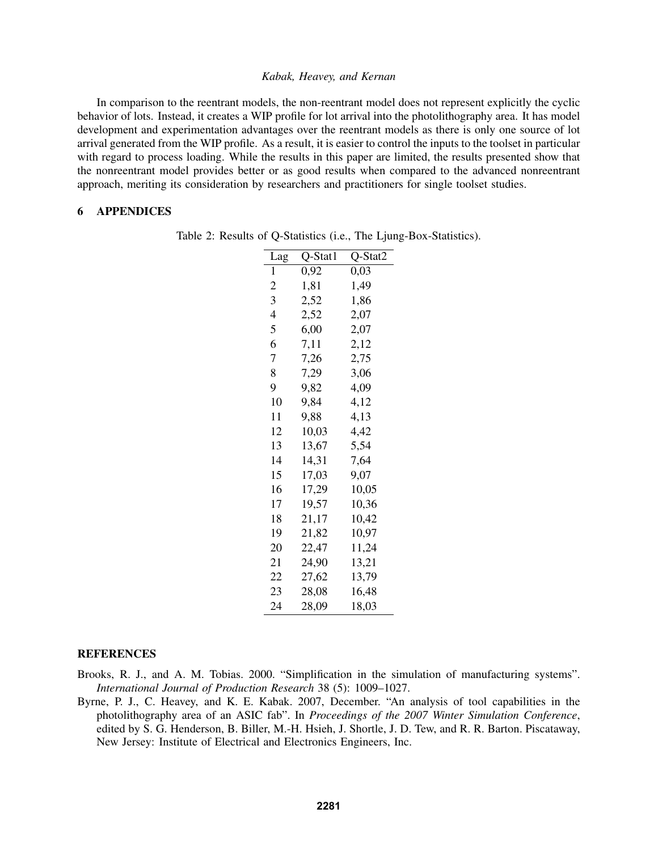In comparison to the reentrant models, the non-reentrant model does not represent explicitly the cyclic behavior of lots. Instead, it creates a WIP profile for lot arrival into the photolithography area. It has model development and experimentation advantages over the reentrant models as there is only one source of lot arrival generated from the WIP profile. As a result, it is easier to control the inputs to the toolset in particular with regard to process loading. While the results in this paper are limited, the results presented show that the nonreentrant model provides better or as good results when compared to the advanced nonreentrant approach, meriting its consideration by researchers and practitioners for single toolset studies.

### 6 APPENDICES

| Lag            | Q-Stat1 | Q-Stat2 |
|----------------|---------|---------|
| $\mathbf{1}$   | 0,92    | 0,03    |
| $\overline{c}$ | 1,81    | 1,49    |
| 3              | 2,52    | 1,86    |
| $\overline{4}$ | 2,52    | 2,07    |
| 5              | 6,00    | 2,07    |
| 6              | 7,11    | 2,12    |
| 7              | 7,26    | 2,75    |
| 8              | 7,29    | 3,06    |
| 9              | 9,82    | 4,09    |
| 10             | 9,84    | 4,12    |
| 11             | 9,88    | 4,13    |
| 12             | 10,03   | 4,42    |
| 13             | 13,67   | 5,54    |
| 14             | 14,31   | 7,64    |
| 15             | 17,03   | 9,07    |
| 16             | 17,29   | 10,05   |
| 17             | 19,57   | 10,36   |
| 18             | 21,17   | 10,42   |
| 19             | 21,82   | 10,97   |
| 20             | 22,47   | 11,24   |
| 21             | 24,90   | 13,21   |
| 22             | 27,62   | 13,79   |
| 23             | 28,08   | 16,48   |
| 24             | 28,09   | 18,03   |

#### REFERENCES

Brooks, R. J., and A. M. Tobias. 2000. "Simplification in the simulation of manufacturing systems". *International Journal of Production Research* 38 (5): 1009–1027.

Byrne, P. J., C. Heavey, and K. E. Kabak. 2007, December. "An analysis of tool capabilities in the photolithography area of an ASIC fab". In *Proceedings of the 2007 Winter Simulation Conference*, edited by S. G. Henderson, B. Biller, M.-H. Hsieh, J. Shortle, J. D. Tew, and R. R. Barton. Piscataway, New Jersey: Institute of Electrical and Electronics Engineers, Inc.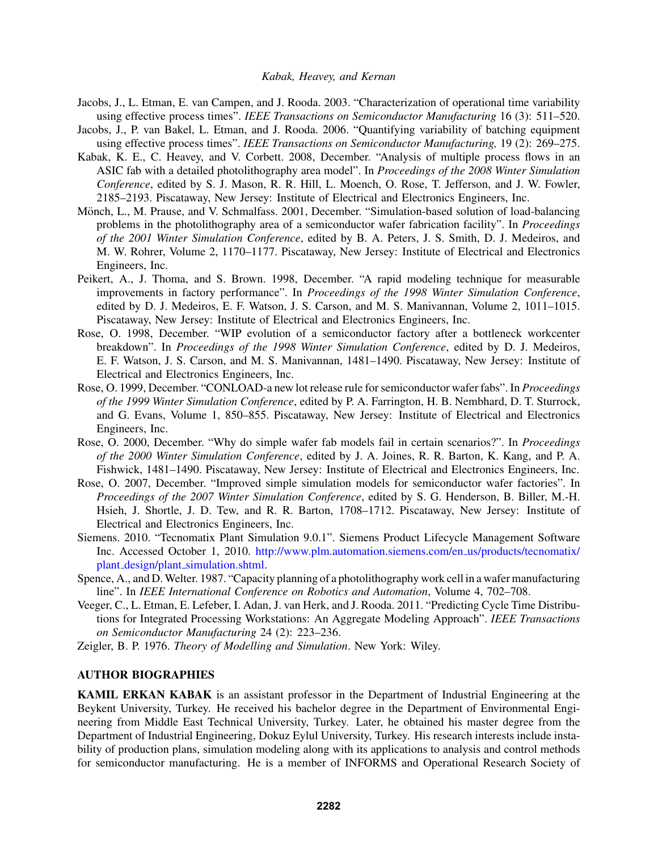- Jacobs, J., L. Etman, E. van Campen, and J. Rooda. 2003. "Characterization of operational time variability using effective process times". *IEEE Transactions on Semiconductor Manufacturing* 16 (3): 511–520.
- Jacobs, J., P. van Bakel, L. Etman, and J. Rooda. 2006. "Quantifying variability of batching equipment using effective process times". *IEEE Transactions on Semiconductor Manufacturing,* 19 (2): 269–275.
- Kabak, K. E., C. Heavey, and V. Corbett. 2008, December. "Analysis of multiple process flows in an ASIC fab with a detailed photolithography area model". In *Proceedings of the 2008 Winter Simulation Conference*, edited by S. J. Mason, R. R. Hill, L. Moench, O. Rose, T. Jefferson, and J. W. Fowler, 2185–2193. Piscataway, New Jersey: Institute of Electrical and Electronics Engineers, Inc.
- Mönch, L., M. Prause, and V. Schmalfass. 2001, December. "Simulation-based solution of load-balancing problems in the photolithography area of a semiconductor wafer fabrication facility". In *Proceedings of the 2001 Winter Simulation Conference*, edited by B. A. Peters, J. S. Smith, D. J. Medeiros, and M. W. Rohrer, Volume 2, 1170–1177. Piscataway, New Jersey: Institute of Electrical and Electronics Engineers, Inc.
- Peikert, A., J. Thoma, and S. Brown. 1998, December. "A rapid modeling technique for measurable improvements in factory performance". In *Proceedings of the 1998 Winter Simulation Conference*, edited by D. J. Medeiros, E. F. Watson, J. S. Carson, and M. S. Manivannan, Volume 2, 1011–1015. Piscataway, New Jersey: Institute of Electrical and Electronics Engineers, Inc.
- Rose, O. 1998, December. "WIP evolution of a semiconductor factory after a bottleneck workcenter breakdown". In *Proceedings of the 1998 Winter Simulation Conference*, edited by D. J. Medeiros, E. F. Watson, J. S. Carson, and M. S. Manivannan, 1481–1490. Piscataway, New Jersey: Institute of Electrical and Electronics Engineers, Inc.
- Rose, O. 1999, December. "CONLOAD-a new lot release rule for semiconductor wafer fabs". In *Proceedings of the 1999 Winter Simulation Conference*, edited by P. A. Farrington, H. B. Nembhard, D. T. Sturrock, and G. Evans, Volume 1, 850–855. Piscataway, New Jersey: Institute of Electrical and Electronics Engineers, Inc.
- Rose, O. 2000, December. "Why do simple wafer fab models fail in certain scenarios?". In *Proceedings of the 2000 Winter Simulation Conference*, edited by J. A. Joines, R. R. Barton, K. Kang, and P. A. Fishwick, 1481–1490. Piscataway, New Jersey: Institute of Electrical and Electronics Engineers, Inc.
- Rose, O. 2007, December. "Improved simple simulation models for semiconductor wafer factories". In *Proceedings of the 2007 Winter Simulation Conference*, edited by S. G. Henderson, B. Biller, M.-H. Hsieh, J. Shortle, J. D. Tew, and R. R. Barton, 1708–1712. Piscataway, New Jersey: Institute of Electrical and Electronics Engineers, Inc.
- Siemens. 2010. "Tecnomatix Plant Simulation 9.0.1". Siemens Product Lifecycle Management Software Inc. Accessed October 1, 2010. http://www.plm.automation.siemens.com/en us/products/tecnomatix/ plant design/plant simulation.shtml.
- Spence, A., and D. Welter. 1987. "Capacity planning of a photolithography work cell in a wafer manufacturing line". In *IEEE International Conference on Robotics and Automation*, Volume 4, 702–708.
- Veeger, C., L. Etman, E. Lefeber, I. Adan, J. van Herk, and J. Rooda. 2011. "Predicting Cycle Time Distributions for Integrated Processing Workstations: An Aggregate Modeling Approach". *IEEE Transactions on Semiconductor Manufacturing* 24 (2): 223–236.

Zeigler, B. P. 1976. *Theory of Modelling and Simulation*. New York: Wiley.

#### AUTHOR BIOGRAPHIES

KAMIL ERKAN KABAK is an assistant professor in the Department of Industrial Engineering at the Beykent University, Turkey. He received his bachelor degree in the Department of Environmental Engineering from Middle East Technical University, Turkey. Later, he obtained his master degree from the Department of Industrial Engineering, Dokuz Eylul University, Turkey. His research interests include instability of production plans, simulation modeling along with its applications to analysis and control methods for semiconductor manufacturing. He is a member of INFORMS and Operational Research Society of